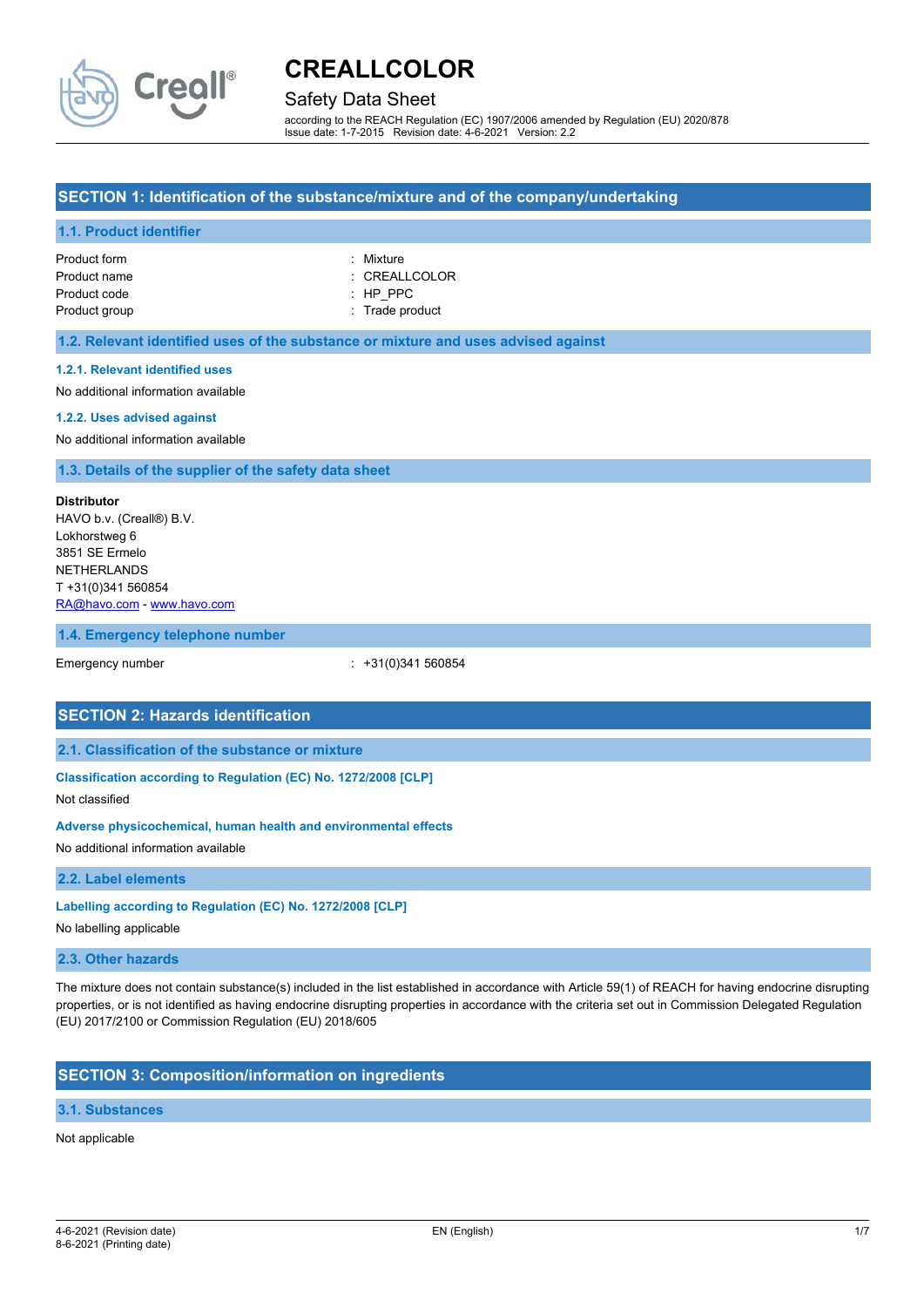

# Safety Data Sheet

according to the REACH Regulation (EC) 1907/2006 amended by Regulation (EU) 2020/878 Issue date: 1-7-2015 Revision date: 4-6-2021 Version: 2.2

# **SECTION 1: Identification of the substance/mixture and of the company/undertaking**

### **1.1. Product identifier**

| Product form  | : Mixture       |
|---------------|-----------------|
| Product name  | : CREALLCOLOR   |
| Product code  | $:$ HP PPC      |
| Product group | : Trade product |

### **1.2. Relevant identified uses of the substance or mixture and uses advised against**

#### **1.2.1. Relevant identified uses**

No additional information available

#### **1.2.2. Uses advised against**

No additional information available

**1.3. Details of the supplier of the safety data sheet**

#### **Distributor**

HAVO b.v. (Creall®) B.V. Lokhorstweg 6 3851 SE Ermelo NETHERLANDS T +31(0)341 560854 [RA@havo.com](mailto:RA@havo.com) - [www.havo.com](http://www.havo.com/)

#### **1.4. Emergency telephone number**

Emergency number : +31(0)341 560854

### **SECTION 2: Hazards identification**

# **2.1. Classification of the substance or mixture**

**Classification according to Regulation (EC) No. 1272/2008 [CLP]**

#### Not classified

# **Adverse physicochemical, human health and environmental effects**

No additional information available

### **2.2. Label elements**

#### **Labelling according to Regulation (EC) No. 1272/2008 [CLP]**

No labelling applicable

# **2.3. Other hazards**

The mixture does not contain substance(s) included in the list established in accordance with Article 59(1) of REACH for having endocrine disrupting properties, or is not identified as having endocrine disrupting properties in accordance with the criteria set out in Commission Delegated Regulation (EU) 2017/2100 or Commission Regulation (EU) 2018/605

# **SECTION 3: Composition/information on ingredients**

### **3.1. Substances**

#### Not applicable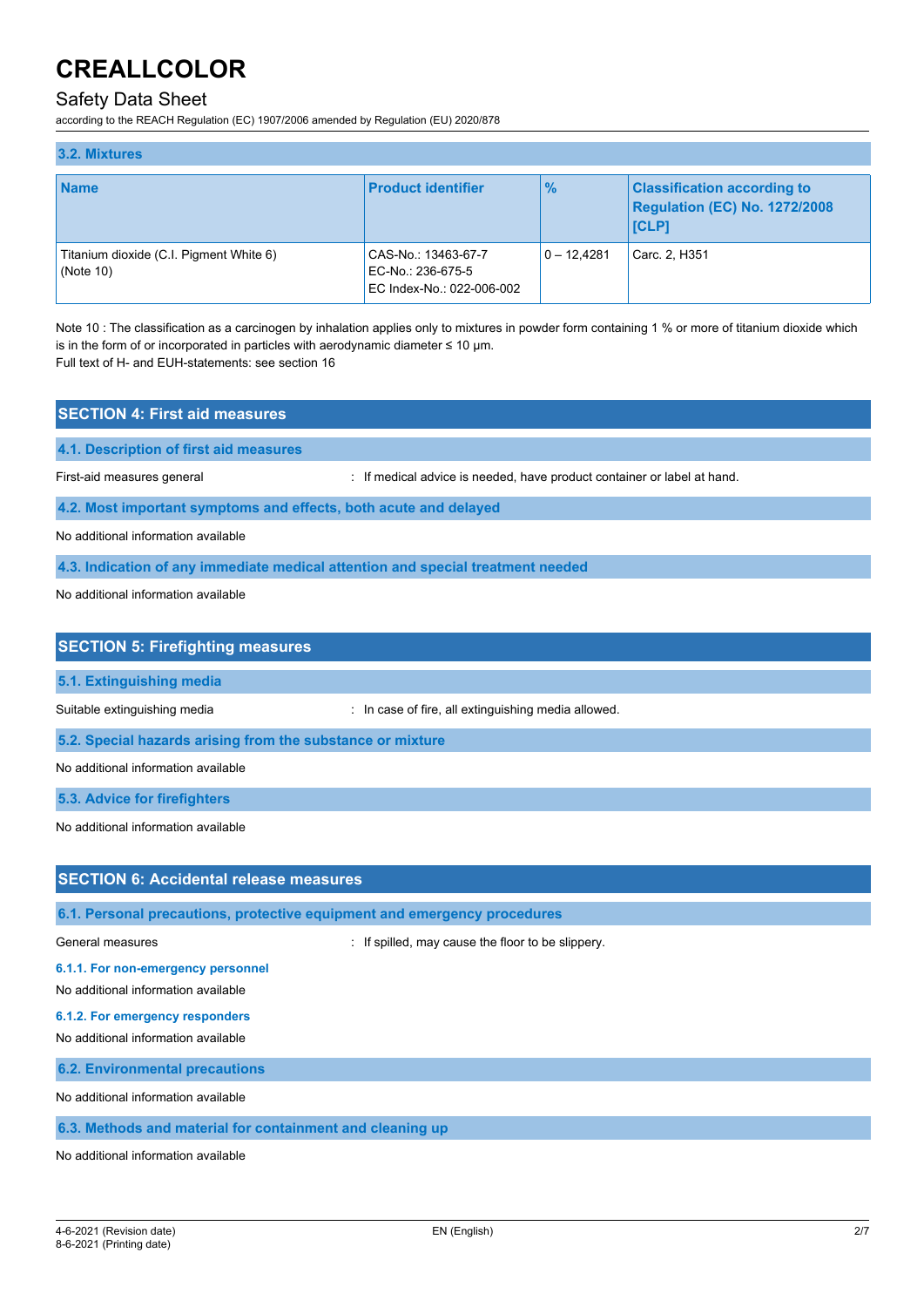# Safety Data Sheet

according to the REACH Regulation (EC) 1907/2006 amended by Regulation (EU) 2020/878

| 3.2. Mixtures                                           |                                                                       |               |                                                                                     |
|---------------------------------------------------------|-----------------------------------------------------------------------|---------------|-------------------------------------------------------------------------------------|
| <b>Name</b>                                             | <b>Product identifier</b>                                             | $\%$          | <b>Classification according to</b><br>Regulation (EC) No. 1272/2008<br><b>ICLP1</b> |
| Titanium dioxide (C.I. Pigment White 6)<br>(Note $10$ ) | CAS-No.: 13463-67-7<br>EC-No.: 236-675-5<br>EC Index-No.: 022-006-002 | $0 - 12.4281$ | Carc. 2, H351                                                                       |

Note 10 : The classification as a carcinogen by inhalation applies only to mixtures in powder form containing 1 % or more of titanium dioxide which is in the form of or incorporated in particles with aerodynamic diameter  $\leq 10$  µm. Full text of H- and EUH-statements: see section 16

**SECTION 4: First aid measures**

**4.1. Description of first aid measures**

First-aid measures general interval in the state of the medical advice is needed, have product container or label at hand.

**4.2. Most important symptoms and effects, both acute and delayed**

No additional information available

**4.3. Indication of any immediate medical attention and special treatment needed**

No additional information available

| <b>SECTION 5: Firefighting measures</b>                    |                                                     |
|------------------------------------------------------------|-----------------------------------------------------|
| 5.1. Extinguishing media                                   |                                                     |
| Suitable extinguishing media                               | : In case of fire, all extinguishing media allowed. |
| 5.2. Special hazards arising from the substance or mixture |                                                     |
| No additional information available                        |                                                     |

**5.3. Advice for firefighters**

No additional information available

# **SECTION 6: Accidental release measures**

**6.1. Personal precautions, protective equipment and emergency procedures**

General measures **Secure 1** and the set of the strength of the strength of the strength of the slippery.

**6.1.1. For non-emergency personnel**

No additional information available

# **6.1.2. For emergency responders**

No additional information available

**6.2. Environmental precautions**

No additional information available

# **6.3. Methods and material for containment and cleaning up**

No additional information available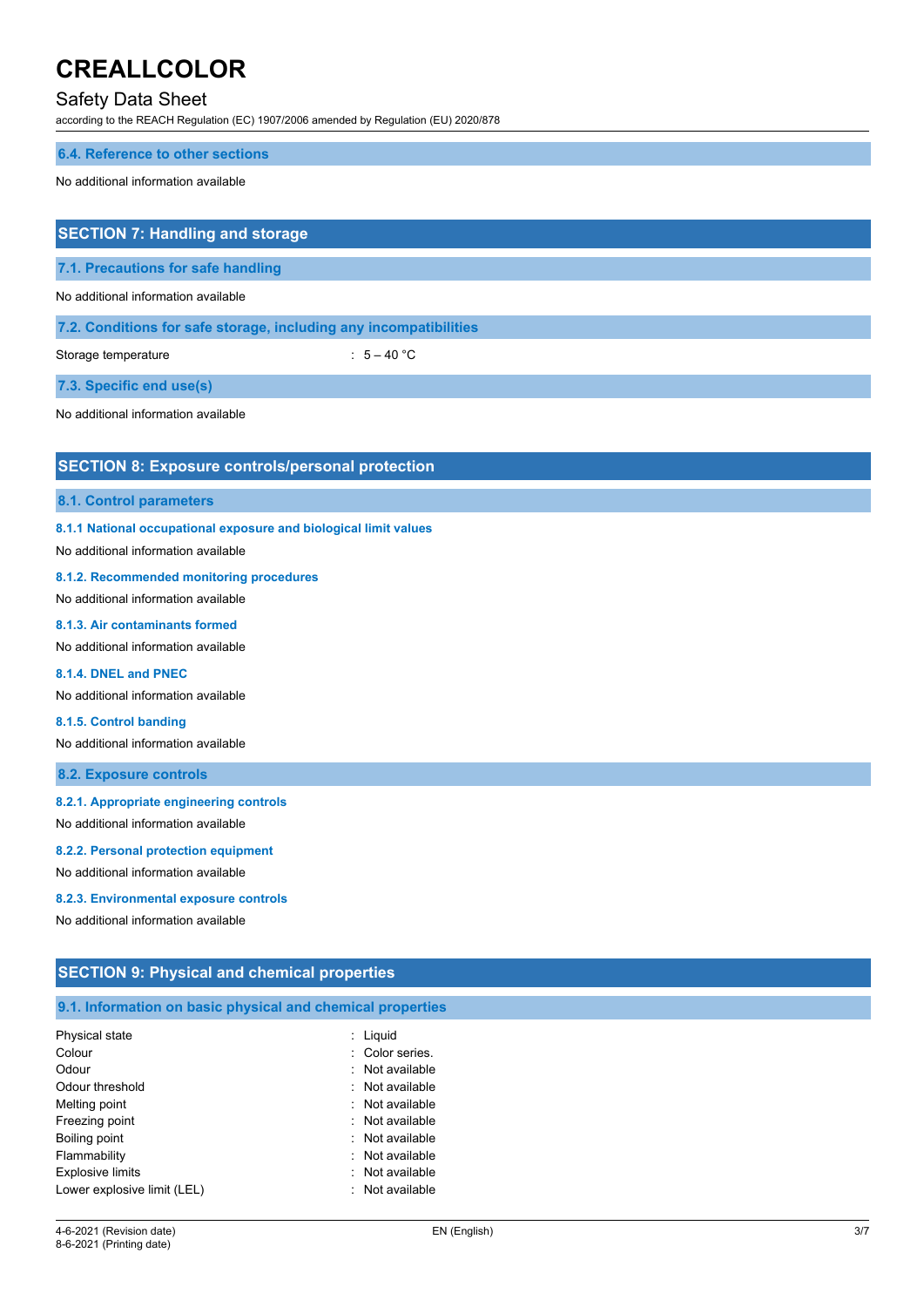# Safety Data Sheet

according to the REACH Regulation (EC) 1907/2006 amended by Regulation (EU) 2020/878

#### **6.4. Reference to other sections**

No additional information available

# **SECTION 7: Handling and storage**

**7.1. Precautions for safe handling**

No additional information available

# **7.2. Conditions for safe storage, including any incompatibilities**

Storage temperature  $\qquad \qquad$  : 5 – 40 °C

**7.3. Specific end use(s)**

No additional information available

# **SECTION 8: Exposure controls/personal protection**

# **8.1. Control parameters**

**8.1.1 National occupational exposure and biological limit values**

No additional information available

#### **8.1.2. Recommended monitoring procedures**

No additional information available

# **8.1.3. Air contaminants formed**

No additional information available

# **8.1.4. DNEL and PNEC**

No additional information available

### **8.1.5. Control banding**

No additional information available

# **8.2. Exposure controls**

### **8.2.1. Appropriate engineering controls**

No additional information available

#### **8.2.2. Personal protection equipment**

No additional information available

#### **8.2.3. Environmental exposure controls**

No additional information available

# **SECTION 9: Physical and chemical properties**

#### **9.1. Information on basic physical and chemical properties**

| Physical state              | : Liguid        |
|-----------------------------|-----------------|
| Colour                      | : Color series. |
| Odour                       | : Not available |
| Odour threshold             | : Not available |
| Melting point               | : Not available |
| Freezing point              | : Not available |
| Boiling point               | : Not available |
| Flammability                | : Not available |
| <b>Explosive limits</b>     | : Not available |
| Lower explosive limit (LEL) | : Not available |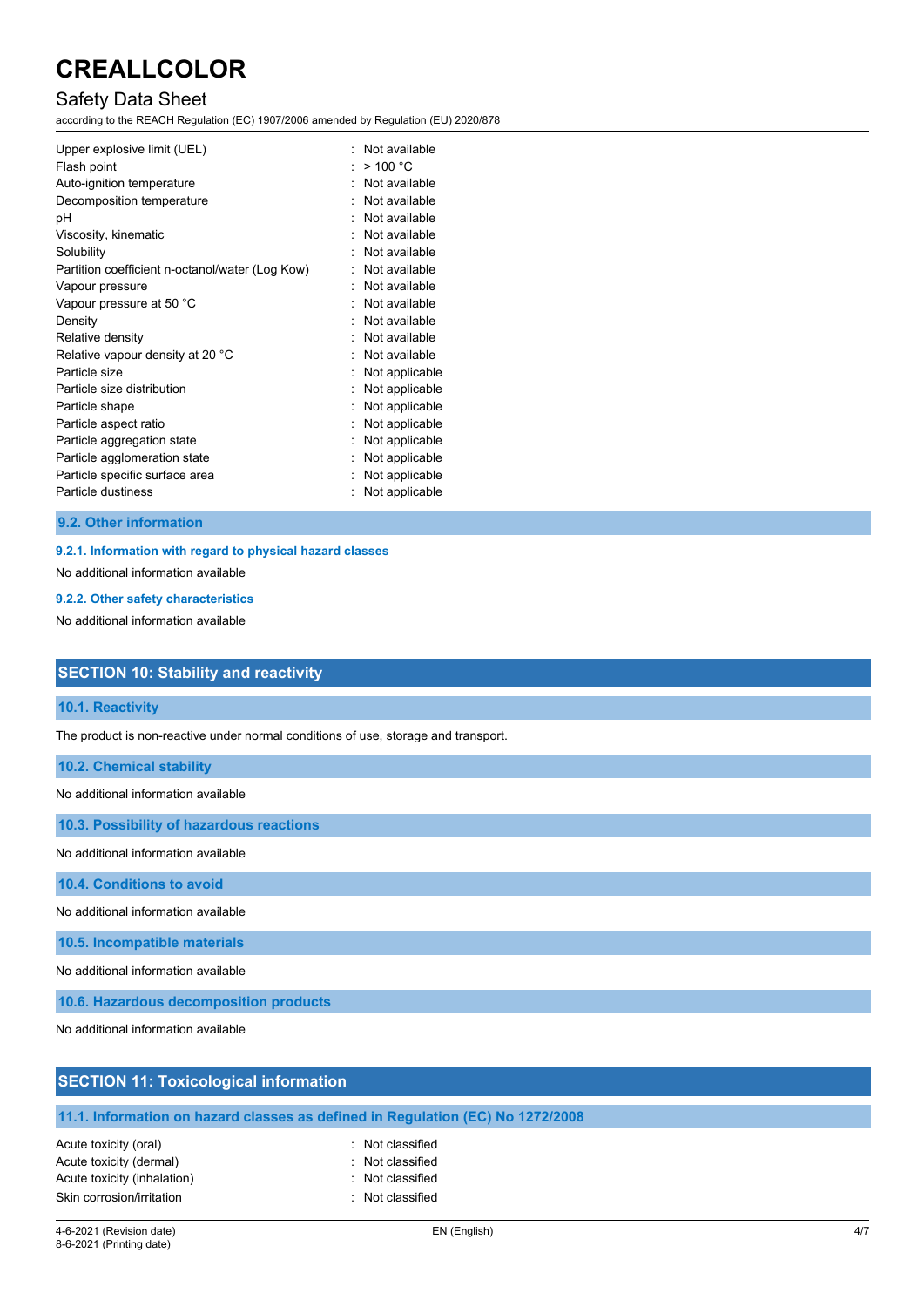# Safety Data Sheet

according to the REACH Regulation (EC) 1907/2006 amended by Regulation (EU) 2020/878

| Upper explosive limit (UEL)                     |   | Not available  |
|-------------------------------------------------|---|----------------|
| Flash point                                     |   | $>$ 100 °C     |
| Auto-ignition temperature                       |   | Not available  |
| Decomposition temperature                       |   | Not available  |
| рH                                              |   | Not available  |
| Viscosity, kinematic                            |   | Not available  |
| Solubility                                      |   | Not available  |
| Partition coefficient n-octanol/water (Log Kow) |   | Not available  |
| Vapour pressure                                 | ٠ | Not available  |
| Vapour pressure at 50 °C                        |   | Not available  |
| Density                                         |   | Not available  |
| Relative density                                |   | Not available  |
| Relative vapour density at 20 °C                |   | Not available  |
| Particle size                                   |   | Not applicable |
| Particle size distribution                      |   | Not applicable |
| Particle shape                                  |   | Not applicable |
| Particle aspect ratio                           |   | Not applicable |
| Particle aggregation state                      |   | Not applicable |
| Particle agglomeration state                    |   | Not applicable |
| Particle specific surface area                  |   | Not applicable |
| Particle dustiness                              |   | Not applicable |

#### **9.2. Other information**

# **9.2.1. Information with regard to physical hazard classes**

No additional information available

#### **9.2.2. Other safety characteristics**

No additional information available

# **SECTION 10: Stability and reactivity**

# **10.1. Reactivity**

The product is non-reactive under normal conditions of use, storage and transport.

**10.2. Chemical stability**

No additional information available

**10.3. Possibility of hazardous reactions**

No additional information available

**10.4. Conditions to avoid**

No additional information available

**10.5. Incompatible materials**

No additional information available

**10.6. Hazardous decomposition products**

Acute toxicity (inhalation) **interpretial according to the Control**: Not classified Skin corrosion/irritation in the set of the set of the set of the set of the set of the set of the set of the set of the set of the set of the set of the set of the set of the set of the set of the set of the set of the se

No additional information available

| <b>SECTION 11: Toxicological information</b>     |                                                                                |  |  |  |
|--------------------------------------------------|--------------------------------------------------------------------------------|--|--|--|
|                                                  | 11.1. Information on hazard classes as defined in Regulation (EC) No 1272/2008 |  |  |  |
| Acute toxicity (oral)<br>Acute toxicity (dermal) | : Not classified<br>: Not classified                                           |  |  |  |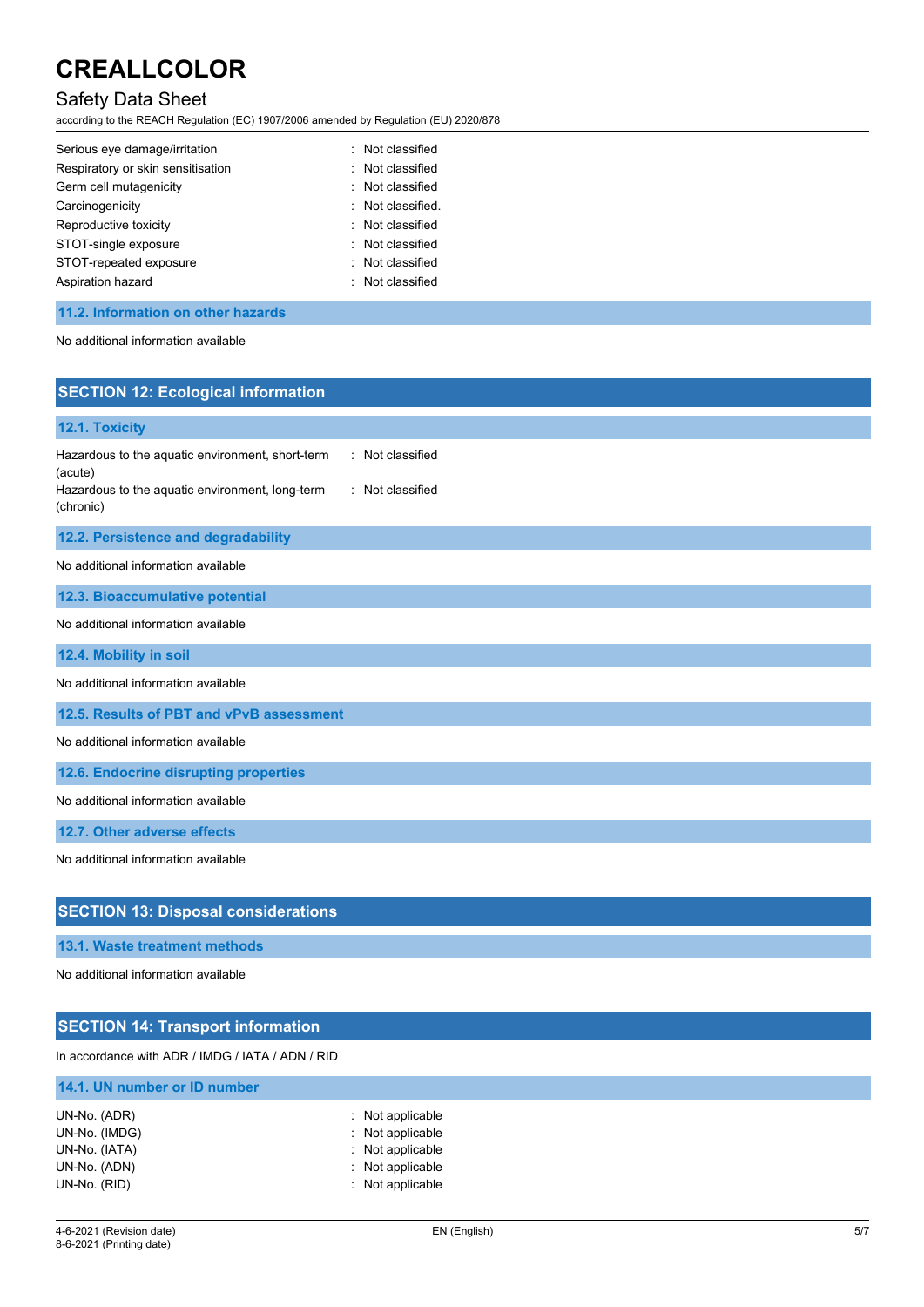# Safety Data Sheet

according to the REACH Regulation (EC) 1907/2006 amended by Regulation (EU) 2020/878

| Serious eye damage/irritation     | : Not classified  |
|-----------------------------------|-------------------|
| Respiratory or skin sensitisation | : Not classified  |
| Germ cell mutagenicity            | : Not classified  |
| Carcinogenicity                   | : Not classified. |
| Reproductive toxicity             | : Not classified  |
| STOT-single exposure              | : Not classified  |
| STOT-repeated exposure            | : Not classified  |
| Aspiration hazard                 | : Not classified  |

# **11.2. Information on other hazards**

No additional information available

| <b>SECTION 12: Ecological information</b>                                                                                                                           |
|---------------------------------------------------------------------------------------------------------------------------------------------------------------------|
| 12.1. Toxicity                                                                                                                                                      |
| : Not classified<br>Hazardous to the aquatic environment, short-term<br>(acute)<br>Hazardous to the aquatic environment, long-term<br>: Not classified<br>(chronic) |
| 12.2. Persistence and degradability                                                                                                                                 |
| No additional information available                                                                                                                                 |
| 12.3. Bioaccumulative potential                                                                                                                                     |
| No additional information available                                                                                                                                 |
| 12.4. Mobility in soil                                                                                                                                              |
| No additional information available                                                                                                                                 |
| 12.5. Results of PBT and vPvB assessment                                                                                                                            |
| No additional information available                                                                                                                                 |
| 12.6. Endocrine disrupting properties                                                                                                                               |
| No additional information available                                                                                                                                 |
| 12.7. Other adverse effects                                                                                                                                         |
| No additional information available                                                                                                                                 |
| <b>SECTION 13: Disposal considerations</b>                                                                                                                          |
| 13.1. Waste treatment methods                                                                                                                                       |
| No additional information available                                                                                                                                 |

# **SECTION 14: Transport information**

In accordance with ADR / IMDG / IATA / ADN / RID

| 14.1. UN number or ID number |                  |
|------------------------------|------------------|
| UN-No. (ADR)                 | : Not applicable |
| UN-No. (IMDG)                | : Not applicable |
| UN-No. (IATA)                | : Not applicable |
| UN-No. (ADN)                 | : Not applicable |
| UN-No. (RID)                 | : Not applicable |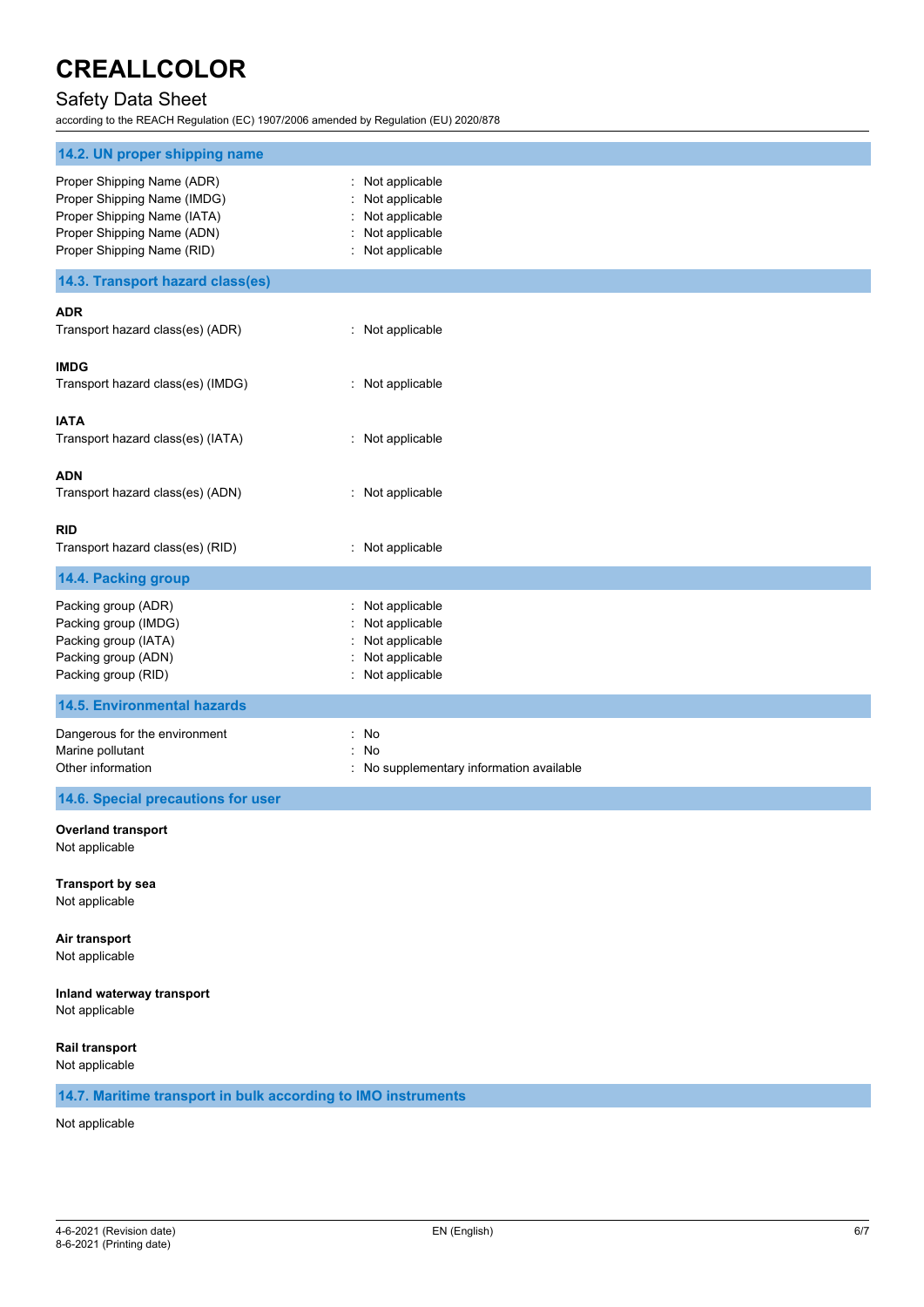# Safety Data Sheet

according to the REACH Regulation (EC) 1907/2006 amended by Regulation (EU) 2020/878

| 14.2. UN proper shipping name                                                                                                                        |                                                                                          |
|------------------------------------------------------------------------------------------------------------------------------------------------------|------------------------------------------------------------------------------------------|
| Proper Shipping Name (ADR)<br>Proper Shipping Name (IMDG)<br>Proper Shipping Name (IATA)<br>Proper Shipping Name (ADN)<br>Proper Shipping Name (RID) | Not applicable<br>Not applicable<br>Not applicable<br>Not applicable<br>Not applicable   |
| 14.3. Transport hazard class(es)                                                                                                                     |                                                                                          |
| <b>ADR</b><br>Transport hazard class(es) (ADR)                                                                                                       | : Not applicable                                                                         |
| <b>IMDG</b><br>Transport hazard class(es) (IMDG)                                                                                                     | : Not applicable                                                                         |
| <b>IATA</b><br>Transport hazard class(es) (IATA)                                                                                                     | : Not applicable                                                                         |
| <b>ADN</b><br>Transport hazard class(es) (ADN)                                                                                                       | : Not applicable                                                                         |
| RID<br>Transport hazard class(es) (RID)                                                                                                              | : Not applicable                                                                         |
| 14.4. Packing group                                                                                                                                  |                                                                                          |
| Packing group (ADR)<br>Packing group (IMDG)<br>Packing group (IATA)<br>Packing group (ADN)<br>Packing group (RID)                                    | Not applicable<br>Not applicable<br>Not applicable<br>Not applicable<br>: Not applicable |
| <b>14.5. Environmental hazards</b>                                                                                                                   |                                                                                          |
| Dangerous for the environment<br>Marine pollutant<br>Other information                                                                               | ř.<br>No<br>ř.<br>No<br>: No supplementary information available                         |
| 14.6. Special precautions for user                                                                                                                   |                                                                                          |
| <b>Overland transport</b>                                                                                                                            |                                                                                          |

Not applicable

**Transport by sea** Not applicable

**Air transport**

Not applicable

**Inland waterway transport**

Not applicable

**Rail transport**

Not applicable

# **14.7. Maritime transport in bulk according to IMO instruments**

Not applicable